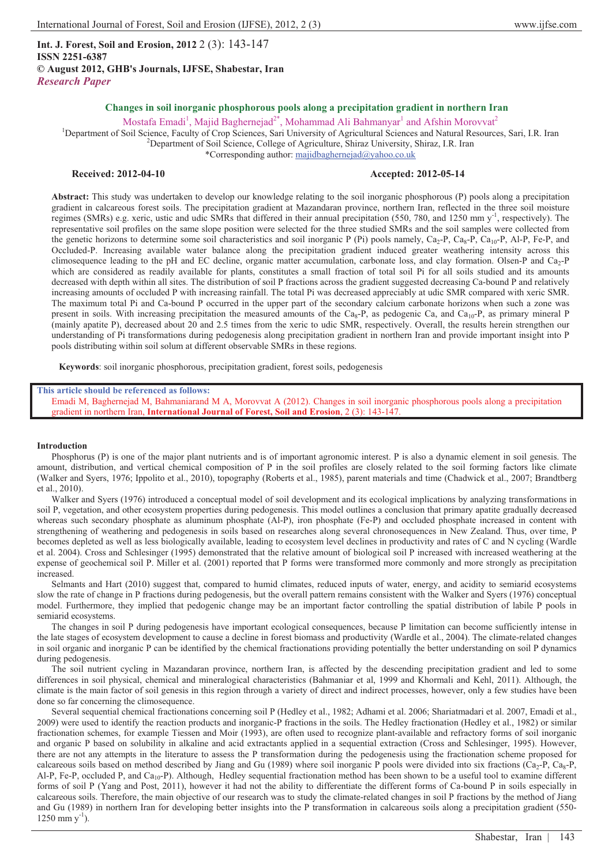**Int. J. Forest, Soil and Erosion, 2012** 2 (3): 143-147 **ISSN 2251-6387 © August 2012, GHB's Journals, IJFSE, Shabestar, Iran** *Research Paper*

# **Changes in soil inorganic phosphorous pools along a precipitation gradient in northern Iran**

Mostafa Emadi<sup>1</sup>, Majid Baghernejad<sup>2\*</sup>, Mohammad Ali Bahmanyar<sup>1</sup> and Afshin Morovvat<sup>2</sup>

<sup>1</sup>Department of Soil Science, Faculty of Crop Sciences, Sari University of Agricultural Sciences and Natural Resources, Sari, I.R. Iran <sup>2</sup>Department of Soil Science College of Agricultura, Shing University, Shing J.B. Ir  $^{2}$ Department of Soil Science, College of Agriculture, Shiraz University, Shiraz, I.R. Iran

\*Corresponding author: majidbaghernejad@yahoo.co.uk

## **Received: 2012-04-10 Accepted: 2012-05-14**

**Abstract:** This study was undertaken to develop our knowledge relating to the soil inorganic phosphorous (P) pools along a precipitation gradient in calcareous forest soils. The precipitation gradient at Mazandaran province, northern Iran, reflected in the three soil moisture regimes (SMRs) e.g. xeric, ustic and udic SMRs that differed in their annual precipitation (550, 780, and 1250 mm  $y<sup>-1</sup>$ , respectively). The representative soil profiles on the same slope position were selected for the three studied SMRs and the soil samples were collected from the genetic horizons to determine some soil characteristics and soil inorganic P (Pi) pools namely,  $Ca_2-P$ ,  $Ca_8-P$ ,  $Ca_1O-P$ , Al-P, Fe-P, and Occluded-P. Increasing available water balance along the precipitation gradient induced greater weathering intensity across this climosequence leading to the pH and EC decline, organic matter accumulation, carbonate loss, and clay formation. Olsen-P and Ca<sub>2</sub>-P which are considered as readily available for plants, constitutes a small fraction of total soil Pi for all soils studied and its amounts decreased with depth within all sites. The distribution of soil P fractions across the gradient suggested decreasing Ca-bound P and relatively increasing amounts of occluded P with increasing rainfall. The total Pi was decreased appreciably at udic SMR compared with xeric SMR. The maximum total Pi and Ca-bound P occurred in the upper part of the secondary calcium carbonate horizons when such a zone was present in soils. With increasing precipitation the measured amounts of the Ca<sub>8</sub>-P, as pedogenic Ca, and Ca<sub>10</sub>-P, as primary mineral P (mainly apatite P), decreased about 20 and 2.5 times from the xeric to udic SMR, respectively. Overall, the results herein strengthen our understanding of Pi transformations during pedogenesis along precipitation gradient in northern Iran and provide important insight into P pools distributing within soil solum at different observable SMRs in these regions.

**Keywords**: soil inorganic phosphorous, precipitation gradient, forest soils, pedogenesis

## **This article should be referenced as follows:**

Emadi M, Baghernejad M, Bahmaniarand M A, Morovvat A (2012). Changes in soil inorganic phosphorous pools along a precipitation gradient in northern Iran, **International Journal of Forest, Soil and Erosion**, 2 (3): 143-147.

#### **Introduction**

Phosphorus (P) is one of the major plant nutrients and is of important agronomic interest. P is also a dynamic element in soil genesis. The amount, distribution, and vertical chemical composition of P in the soil profiles are closely related to the soil forming factors like climate (Walker and Syers, 1976; Ippolito et al., 2010), topography (Roberts et al., 1985), parent materials and time (Chadwick et al., 2007; Brandtberg et al., 2010).

Walker and Syers (1976) introduced a conceptual model of soil development and its ecological implications by analyzing transformations in soil P, vegetation, and other ecosystem properties during pedogenesis. This model outlines a conclusion that primary apatite gradually decreased whereas such secondary phosphate as aluminum phosphate (Al-P), iron phosphate (Fe-P) and occluded phosphate increased in content with strengthening of weathering and pedogenesis in soils based on researches along several chronosequences in New Zealand. Thus, over time, P becomes depleted as well as less biologically available, leading to ecosystem level declines in productivity and rates of C and N cycling (Wardle et al. 2004). Cross and Schlesinger (1995) demonstrated that the relative amount of biological soil P increased with increased weathering at the expense of geochemical soil P. Miller et al. (2001) reported that P forms were transformed more commonly and more strongly as precipitation increased.

Selmants and Hart (2010) suggest that, compared to humid climates, reduced inputs of water, energy, and acidity to semiarid ecosystems slow the rate of change in P fractions during pedogenesis, but the overall pattern remains consistent with the Walker and Syers (1976) conceptual model. Furthermore, they implied that pedogenic change may be an important factor controlling the spatial distribution of labile P pools in semiarid ecosystems.

The changes in soil P during pedogenesis have important ecological consequences, because P limitation can become sufficiently intense in the late stages of ecosystem development to cause a decline in forest biomass and productivity (Wardle et al., 2004). The climate-related changes in soil organic and inorganic P can be identified by the chemical fractionations providing potentially the better understanding on soil P dynamics during pedogenesis.

The soil nutrient cycling in Mazandaran province, northern Iran, is affected by the descending precipitation gradient and led to some differences in soil physical, chemical and mineralogical characteristics (Bahmaniar et al, 1999 and Khormali and Kehl, 2011). Although, the climate is the main factor of soil genesis in this region through a variety of direct and indirect processes, however, only a few studies have been done so far concerning the climosequence.

Several sequential chemical fractionations concerning soil P (Hedley et al., 1982; Adhami et al. 2006; Shariatmadari et al. 2007, Emadi et al., 2009) were used to identify the reaction products and inorganic-P fractions in the soils. The Hedley fractionation (Hedley et al., 1982) or similar fractionation schemes, for example Tiessen and Moir (1993), are often used to recognize plant-available and refractory forms of soil inorganic and organic P based on solubility in alkaline and acid extractants applied in a sequential extraction (Cross and Schlesinger, 1995). However, there are not any attempts in the literature to assess the P transformation during the pedogenesis using the fractionation scheme proposed for calcareous soils based on method described by Jiang and Gu (1989) where soil inorganic P pools were divided into six fractions ( $Ca<sub>2</sub>$ -P,  $Ca<sub>8</sub>$ -P, Al-P, Fe-P, occluded P, and  $Ca<sub>10</sub>-P$ ). Although, Hedley sequential fractionation method has been shown to be a useful tool to examine different forms of soil P (Yang and Post, 2011), however it had not the ability to differentiate the different forms of Ca-bound P in soils especially in calcareous soils. Therefore, the main objective of our research was to study the climate-related changes in soil P fractions by the method of Jiang and Gu (1989) in northern Iran for developing better insights into the P transformation in calcareous soils along a precipitation gradient (550-  $1250$  mm  $y^{-1}$ ).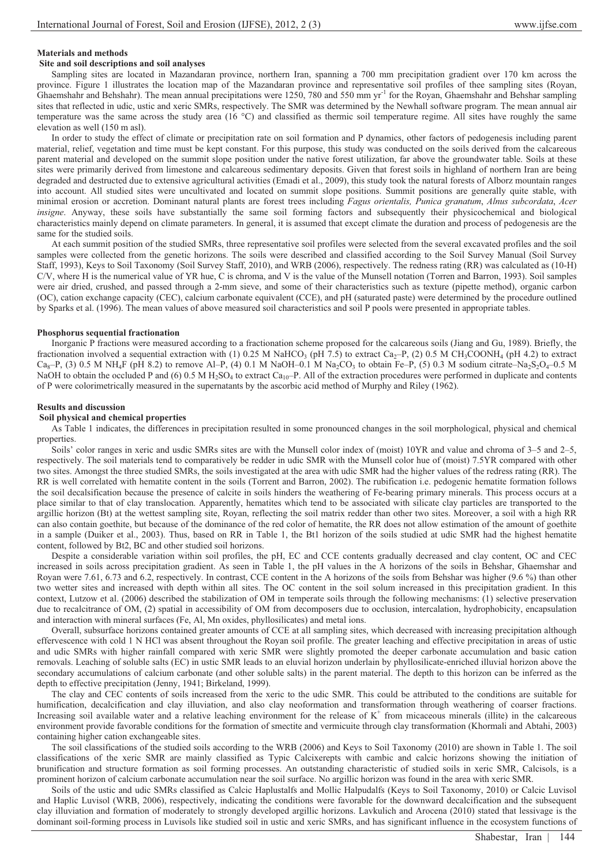## **Materials and methods**

## **Site and soil descriptions and soil analyses**

Sampling sites are located in Mazandaran province, northern Iran, spanning a 700 mm precipitation gradient over 170 km across the province. Figure 1 illustrates the location map of the Mazandaran province and representative soil profiles of thee sampling sites (Royan, Ghaemshahr and Behshahr). The mean annual precipitations were  $1250$ , 780 and 550 mm yr<sup>-1</sup> for the Royan, Ghaemshahr and Behshar sampling sites that reflected in udic, ustic and xeric SMRs, respectively. The SMR was determined by the Newhall software program. The mean annual air temperature was the same across the study area (16 °C) and classified as thermic soil temperature regime. All sites have roughly the same elevation as well (150 m asl).

In order to study the effect of climate or precipitation rate on soil formation and P dynamics, other factors of pedogenesis including parent material, relief, vegetation and time must be kept constant. For this purpose, this study was conducted on the soils derived from the calcareous parent material and developed on the summit slope position under the native forest utilization, far above the groundwater table. Soils at these sites were primarily derived from limestone and calcareous sedimentary deposits. Given that forest soils in highland of northern Iran are being degraded and destructed due to extensive agricultural activities (Emadi et al., 2009), this study took the natural forests of Alborz mountain ranges into account. All studied sites were uncultivated and located on summit slope positions. Summit positions are generally quite stable, with minimal erosion or accretion. Dominant natural plants are forest trees including *Fagus orientalis, Punica granatum*, *Alnus subcordata*, *Acer insigne*. Anyway, these soils have substantially the same soil forming factors and subsequently their physicochemical and biological characteristics mainly depend on climate parameters. In general, it is assumed that except climate the duration and process of pedogenesis are the same for the studied soils.

At each summit position of the studied SMRs, three representative soil profiles were selected from the several excavated profiles and the soil samples were collected from the genetic horizons. The soils were described and classified according to the Soil Survey Manual (Soil Survey Staff, 1993), Keys to Soil Taxonomy (Soil Survey Staff, 2010), and WRB (2006), respectively. The redness rating (RR) was calculated as (10-H) C/V, where H is the numerical value of YR hue, C is chroma, and V is the value of the Munsell notation (Torren and Barron, 1993). Soil samples were air dried, crushed, and passed through a 2-mm sieve, and some of their characteristics such as texture (pipette method), organic carbon (OC), cation exchange capacity (CEC), calcium carbonate equivalent (CCE), and pH (saturated paste) were determined by the procedure outlined by Sparks et al. (1996). The mean values of above measured soil characteristics and soil P pools were presented in appropriate tables.

### **Phosphorus sequential fractionation**

Inorganic P fractions were measured according to a fractionation scheme proposed for the calcareous soils (Jiang and Gu, 1989). Briefly, the fractionation involved a sequential extraction with (1) 0.25 M NaHCO<sub>3</sub> (pH 7.5) to extract Ca<sub>2</sub>–P, (2) 0.5 M CH<sub>3</sub>COONH<sub>4</sub> (pH 4.2) to extract  $Ca_8-P$ , (3) 0.5 M NH<sub>4</sub>F (pH 8.2) to remove Al–P, (4) 0.1 M NaOH–0.1 M Na<sub>2</sub>CO<sub>3</sub> to obtain Fe–P, (5) 0.3 M sodium citrate–Na<sub>2</sub>S<sub>2</sub>O<sub>4</sub>–0.5 M NaOH to obtain the occluded P and (6) 0.5 M H<sub>2</sub>SO<sub>4</sub> to extract Ca<sub>10</sub>–P. All of the extraction procedures were performed in duplicate and contents of P were colorimetrically measured in the supernatants by the ascorbic acid method of Murphy and Riley (1962).

#### **Results and discussion**

## **Soil physical and chemical properties**

As Table 1 indicates, the differences in precipitation resulted in some pronounced changes in the soil morphological, physical and chemical properties.

Soils' color ranges in xeric and usdic SMRs sites are with the Munsell color index of (moist) 10YR and value and chroma of 3–5 and 2–5, respectively. The soil materials tend to comparatively be redder in udic SMR with the Munsell color hue of (moist) 7.5YR compared with other two sites. Amongst the three studied SMRs, the soils investigated at the area with udic SMR had the higher values of the redress rating (RR). The RR is well correlated with hematite content in the soils (Torrent and Barron, 2002). The rubification i.e. pedogenic hematite formation follows the soil decalsification because the presence of calcite in soils hinders the weathering of Fe-bearing primary minerals. This process occurs at a place similar to that of clay translocation. Apparently, hematites which tend to be associated with silicate clay particles are transported to the argillic horizon (Bt) at the wettest sampling site, Royan, reflecting the soil matrix redder than other two sites. Moreover, a soil with a high RR can also contain goethite, but because of the dominance of the red color of hematite, the RR does not allow estimation of the amount of goethite in a sample (Duiker et al., 2003). Thus, based on RR in Table 1, the Bt1 horizon of the soils studied at udic SMR had the highest hematite content, followed by Bt2, BC and other studied soil horizons.

Despite a considerable variation within soil profiles, the pH, EC and CCE contents gradually decreased and clay content, OC and CEC increased in soils across precipitation gradient. As seen in Table 1, the pH values in the A horizons of the soils in Behshar, Ghaemshar and Royan were 7.61, 6.73 and 6.2, respectively. In contrast, CCE content in the A horizons of the soils from Behshar was higher (9.6 %) than other two wetter sites and increased with depth within all sites. The OC content in the soil solum increased in this precipitation gradient. In this context, Lutzow et al. (2006) described the stabilization of OM in temperate soils through the following mechanisms: (1) selective preservation due to recalcitrance of OM, (2) spatial in accessibility of OM from decomposers due to occlusion, intercalation, hydrophobicity, encapsulation and interaction with mineral surfaces (Fe, Al, Mn oxides, phyllosilicates) and metal ions.

Overall, subsurface horizons contained greater amounts of CCE at all sampling sites, which decreased with increasing precipitation although effervescence with cold 1 N HCl was absent throughout the Royan soil profile. The greater leaching and effective precipitation in areas of ustic and udic SMRs with higher rainfall compared with xeric SMR were slightly promoted the deeper carbonate accumulation and basic cation removals. Leaching of soluble salts (EC) in ustic SMR leads to an eluvial horizon underlain by phyllosilicate-enriched illuvial horizon above the secondary accumulations of calcium carbonate (and other soluble salts) in the parent material. The depth to this horizon can be inferred as the depth to effective precipitation (Jenny, 1941; Birkeland, 1999).

The clay and CEC contents of soils increased from the xeric to the udic SMR. This could be attributed to the conditions are suitable for humification, decalcification and clay illuviation, and also clay neoformation and transformation through weathering of coarser fractions. Increasing soil available water and a relative leaching environment for the release of  $K^+$  from micaceous minerals (illite) in the calcareous environment provide favorable conditions for the formation of smectite and vermicuite through clay transformation (Khormali and Abtahi, 2003) containing higher cation exchangeable sites.

The soil classifications of the studied soils according to the WRB (2006) and Keys to Soil Taxonomy (2010) are shown in Table 1. The soil classifications of the xeric SMR are mainly classified as Typic Calcixerepts with cambic and calcic horizons showing the initiation of brunification and structure formation as soil forming processes. An outstanding characteristic of studied soils in xeric SMR, Calcisols, is a prominent horizon of calcium carbonate accumulation near the soil surface. No argillic horizon was found in the area with xeric SMR.

Soils of the ustic and udic SMRs classified as Calcic Haplustalfs and Mollic Halpudalfs (Keys to Soil Taxonomy, 2010) or Calcic Luvisol and Haplic Luvisol (WRB, 2006), respectively, indicating the conditions were favorable for the downward decalcification and the subsequent clay illuviation and formation of moderately to strongly developed argillic horizons. Lavkulich and Arocena (2010) stated that lessivage is the dominant soil-forming process in Luvisols like studied soil in ustic and xeric SMRs, and has significant influence in the ecosystem functions of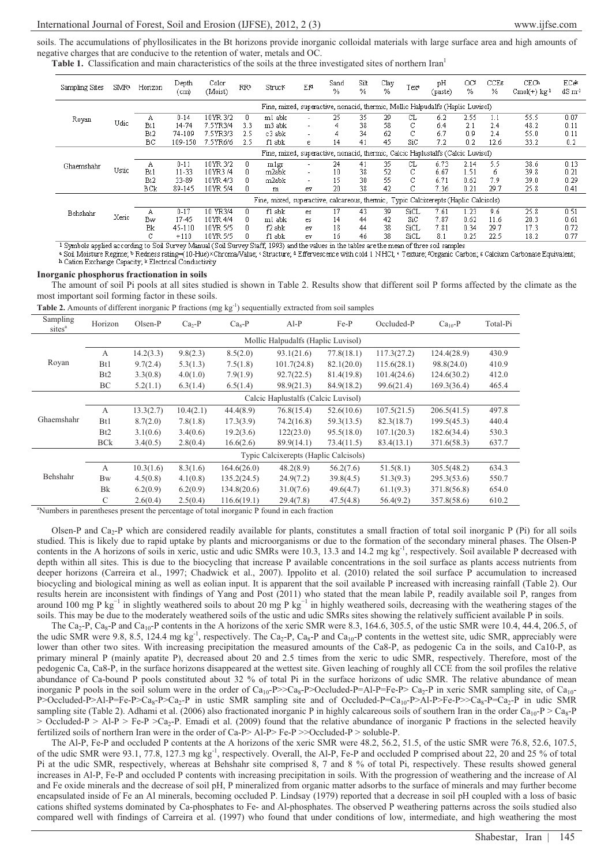soils. The accumulations of phyllosilicates in the Bt horizons provide inorganic colloidal materials with large surface area and high amounts of negative charges that are conducive to the retention of water, metals and OC.

**Table 1.** Classification and main characteristics of the soils at the three investigated sites of northern Iran<sup>1</sup>

| Sampling Sites                                                                  | SMR*  | Horizon                                                                              | Depth<br>(cm) | Color<br>(Moist) | <b>RRb</b> | Structs | Ef  | Sand<br>$\%$ | Silt<br>% | Clay<br>% | Texe | pH<br>(paste) | ΟŒ<br>% | $CCE\varepsilon$<br>% | CECA<br>$Cmol(+)$ kg <sup>-1</sup> | ECek<br>$dS \, m1$ |
|---------------------------------------------------------------------------------|-------|--------------------------------------------------------------------------------------|---------------|------------------|------------|---------|-----|--------------|-----------|-----------|------|---------------|---------|-----------------------|------------------------------------|--------------------|
|                                                                                 |       | Fine, mixed, superactive, nonacid, thermic, Mollic Halpudalfs (Haplic Luvisol)       |               |                  |            |         |     |              |           |           |      |               |         |                       |                                    |                    |
| Royan                                                                           | Udic  | Α                                                                                    | $0 - 14$      | 10YR 3/2         | Ω.         | m1 abk  |     | 25           | 35        | 29        | CL   | 6.2           | 2.55    | 1.1                   | 55.5                               | 0.07               |
|                                                                                 |       | Bt.                                                                                  | 14-74         | 7.5YR3/4         | 3.3        | m3 abk  |     |              | 38        | 58        | C    | 6.4           | 2.1     | 2.4                   | 48.2                               | 0.11               |
|                                                                                 |       | Bt <sub>2</sub>                                                                      | 74-109        | 7.5YR3/3         | 2.5        | c3 abk  |     | 4            | 34        | 62        | С    | 6.7           | 0.9     | 2.4                   | 55.0                               | 0.11               |
|                                                                                 |       | ВC                                                                                   | 109-150       | 7.5YR6/6         | 2.5        | f1 abk  | e.  | 14           | 41        | 45        | SiC  | 7.2           | 0.2     | 12.6                  | 33.2                               | 0.2                |
| Fine, mixed, superactive, nonacid, thermic, Calcic Haplustalfs (Calcic Luvisol) |       |                                                                                      |               |                  |            |         |     |              |           |           |      |               |         |                       |                                    |                    |
| Ghaemshahr                                                                      | Ustic | Α                                                                                    | $0 - 11$      | 10YR 3/2         | Ω.         | mlgr    |     | 24           | 41        | 35        | CL   | 6.73          | 2.14    | 5.5                   | 38.6                               | 0.13               |
|                                                                                 |       | Bt1                                                                                  | $11 - 33$     | 10YR3 /4         | 0          | m2abk   |     | 10           | 38        | 52        | С    | 6.67          | 1.51    | 6                     | 39.8                               | 0.21               |
|                                                                                 |       | B <sub>t2</sub>                                                                      | 33-89         | 10YR 4/3         | Ω.         | m2abk   |     | 15           | 30        | 55        | С    | 6.71          | 0.62    | 7.9                   | 39.0                               | 0.29               |
|                                                                                 |       | BCk                                                                                  | 89-145        | 10YR 5/4         | n          | m       | ev  | 20           | 38        | 42        | С    | 7.36          | 0.21    | 29.7                  | 25.8                               | 0.41               |
|                                                                                 |       | Fine, mixed, superactive, calcareous, thermic, Typic Calcixerepts (Haplic Calcisols) |               |                  |            |         |     |              |           |           |      |               |         |                       |                                    |                    |
| Behshahr                                                                        | Xeric | Α                                                                                    | $0 - 17$      | 10 YR3/4         | Ω.         | f1 abk  | es. | 17           | 43        | 39        | SiCL | 7.61          | 1.23    | 9.6                   | 25.8                               | 0.51               |
|                                                                                 |       | <b>Bw</b>                                                                            | 17-45         | 10YR 4/4         | Ω.         | m1 abk  | es. | 14           | 44        | 42        | SiC. | 7.87          | 0.62    | 11.6                  | 20.3                               | 0.61               |
|                                                                                 |       | Bk                                                                                   | 45-110        | 10YR 5/5         | Ω.         | f2 abk  | ev  | 18           | 44        | 38        | SiCL | 7.81          | 0.34    | 29.7                  | 17.3                               | 0.72               |
|                                                                                 |       | o<br>U                                                                               | $+110$        | 10YR 5/5         | 0          | f1 abk  | ev  | 16           | 46        | 38        | SiCL | 8.1           | 0.25    | 22.5                  | 18.2                               | 0.77               |

<sup>1</sup> Symbols applied according to Soil Survey Manual (Soil Survey Staff, 1993) and the values in the tables are the mean of three soil samples

Soil Moisture Regime, • Redness rating=(10-Hue)×Chroma/Value, «Structure, 4 Effervescence with cold 1 NHCl, « Texture, ¤Organic Carbon, « Calcium Carbonate Equivalent; h Cation Exchange Capacity; k Electrical Conductivity

#### **Inorganic phosphorus fractionation in soils**

The amount of soil Pi pools at all sites studied is shown in Table 2. Results show that different soil P forms affected by the climate as the most important soil forming factor in these soils.

| Sampling<br>sites <sup>a</sup>                                                                         | Horizon                               | $Olsen-P$ | $Ca2-P$   | $Ca8-P$     | $Al-P$      | $Fe-P$     | Occluded-P  | $Ca10-P$    | Total-Pi |  |  |  |  |
|--------------------------------------------------------------------------------------------------------|---------------------------------------|-----------|-----------|-------------|-------------|------------|-------------|-------------|----------|--|--|--|--|
| Royan                                                                                                  | Mollic Halpudalfs (Haplic Luvisol)    |           |           |             |             |            |             |             |          |  |  |  |  |
|                                                                                                        | A                                     | 14.2(3.3) | 9.8(2.3)  | 8.5(2.0)    | 93.1(21.6)  | 77.8(18.1) | 117.3(27.2) | 124.4(28.9) | 430.9    |  |  |  |  |
|                                                                                                        | Bt1                                   | 9.7(2.4)  | 5.3(1.3)  | 7.5(1.8)    | 101.7(24.8) | 82.1(20.0) | 115.6(28.1) | 98.8(24.0)  | 410.9    |  |  |  |  |
|                                                                                                        | B <sub>t2</sub>                       | 3.3(0.8)  | 4.0(1.0)  | 7.9(1.9)    | 92.7(22.5)  | 81.4(19.8) | 101.4(24.6) | 124.6(30.2) | 412.0    |  |  |  |  |
|                                                                                                        | ВC                                    | 5.2(1.1)  | 6.3(1.4)  | 6.5(1.4)    | 98.9(21.3)  | 84.9(18.2) | 99.6(21.4)  | 169.3(36.4) | 465.4    |  |  |  |  |
| Ghaemshahr                                                                                             | Calcic Haplustalfs (Calcic Luvisol)   |           |           |             |             |            |             |             |          |  |  |  |  |
|                                                                                                        | A                                     | 13.3(2.7) | 10.4(2.1) | 44.4(8.9)   | 76.8(15.4)  | 52.6(10.6) | 107.5(21.5) | 206.5(41.5) | 497.8    |  |  |  |  |
|                                                                                                        | B <sub>t1</sub>                       | 8.7(2.0)  | 7.8(1.8)  | 17.3(3.9)   | 74.2(16.8)  | 59.3(13.5) | 82.3(18.7)  | 199.5(45.3) | 440.4    |  |  |  |  |
|                                                                                                        | Bt2                                   | 3.1(0.6)  | 3.4(0.6)  | 19.2(3.6)   | 122(23.0)   | 95.5(18.0) | 107.1(20.3) | 182.6(34.4) | 530.3    |  |  |  |  |
|                                                                                                        | <b>BCk</b>                            | 3.4(0.5)  | 2.8(0.4)  | 16.6(2.6)   | 89.9(14.1)  | 73.4(11.5) | 83.4(13.1)  | 371.6(58.3) | 637.7    |  |  |  |  |
|                                                                                                        | Typic Calcixerepts (Haplic Calcisols) |           |           |             |             |            |             |             |          |  |  |  |  |
| Behshahr                                                                                               | A                                     | 10.3(1.6) | 8.3(1.6)  | 164.6(26.0) | 48.2(8.9)   | 56.2(7.6)  | 51.5(8.1)   | 305.5(48.2) | 634.3    |  |  |  |  |
|                                                                                                        | <b>Bw</b>                             | 4.5(0.8)  | 4.1(0.8)  | 135.2(24.5) | 24.9(7.2)   | 39.8(4.5)  | 51.3(9.3)   | 295.3(53.6) | 550.7    |  |  |  |  |
|                                                                                                        | Bk                                    | 6.2(0.9)  | 6.2(0.9)  | 134.8(20.6) | 31.0(7.6)   | 49.6(4.7)  | 61.1(9.3)   | 371.8(56.8) | 654.0    |  |  |  |  |
|                                                                                                        | $\mathcal{C}$                         | 2.6(0.4)  | 2.5(0.4)  | 116.6(19.1) | 29.4(7.8)   | 47.5(4.8)  | 56.4(9.2)   | 357.8(58.6) | 610.2    |  |  |  |  |
| <sup>a</sup> Numbers in parentheses present the percentage of total inorganic P found in each fraction |                                       |           |           |             |             |            |             |             |          |  |  |  |  |

**Table 2.** Amounts of different inorganic P fractions (mg kg<sup>-1</sup>) sequentially extracted from soil samples

Olsen-P and Ca<sub>2</sub>-P which are considered readily available for plants, constitutes a small fraction of total soil inorganic P (Pi) for all soils studied. This is likely due to rapid uptake by plants and microorganisms or due to the formation of the secondary mineral phases. The Olsen-P contents in the A horizons of soils in xeric, ustic and udic SMRs were 10.3, 13.3 and 14.2 mg kg<sup>-1</sup>, respectively. Soil available P decreased with depth within all sites. This is due to the biocycling that increase P available concentrations in the soil surface as plants access nutrients from deeper horizons (Carreira et al., 1997; Chadwick et al., 2007). Ippolito et al. (2010) related the soil surface P accumulation to increased biocycling and biological mining as well as eolian input. It is apparent that the soil available P increased with increasing rainfall (Table 2). Our results herein are inconsistent with findings of Yang and Post (2011) who stated that the mean labile P, readily available soil P, ranges from around 100 mg P kg<sup>-1</sup> in slightly weathered soils to about 20 mg P kg<sup>-1</sup> in highly weathered soils, decreasing with the weathering stages of the soils. This may be due to the moderately weathered soils of the ustic and udic SMRs sites showing the relatively sufficient available P in soils.

The Ca<sub>2</sub>-P, Ca<sub>8</sub>-P and Ca<sub>10</sub>-P contents in the A horizons of the xeric SMR were 8.3, 164.6, 305.5, of the ustic SMR were 10.4, 44.4, 206.5, of the udic SMR were 9.8, 8.5, 124.4 mg kg<sup>-1</sup>, respectively. The Ca<sub>2</sub>-P, Ca<sub>8</sub>-P and Ca<sub>10</sub>-P contents in the wettest site, udic SMR, appreciably were lower than other two sites. With increasing precipitation the measured amounts of the Ca8-P, as pedogenic Ca in the soils, and Ca10-P, as primary mineral P (mainly apatite P), decreased about 20 and 2.5 times from the xeric to udic SMR, respectively. Therefore, most of the pedogenic Ca, Ca8-P, in the surface horizons disappeared at the wettest site. Given leaching of roughly all CCE from the soil profiles the relative abundance of Ca-bound P pools constituted about 32 % of total Pi in the surface horizons of udic SMR. The relative abundance of mean inorganic P pools in the soil solum were in the order of  $Ca_{10}$ -P>> $Ca_{8}$ -P>Occluded-P=Al-P=Fe-P>  $Ca_{2}$ -P in xeric SMR sampling site, of  $Ca_{10}$ - $P > Occluded-P > A1-P=Fe-P > Ca<sub>2</sub>-P > Ca<sub>2</sub>-P$  in ustic SMR sampling site and of Occluded-P=Ca<sub>10</sub>-P>Al-P>Fe-P>>Ca<sub>8</sub>-P=Ca<sub>2</sub>-P in udic SMR sampling site (Table 2). Adhami et al. (2006) also fractionated inorganic P in highly calcareous soils of southern Iran in the order  $Ca_{10}P > Ca_{8}P$  $>$  Occluded-P  $>$  Al-P  $>$  Fe-P  $>$  Ca<sub>2</sub>-P. Emadi et al. (2009) found that the relative abundance of inorganic P fractions in the selected heavily fertilized soils of northern Iran were in the order of Ca-P> Al-P> Fe-P >>Occluded-P > soluble-P.

The Al-P, Fe-P and occluded P contents at the A horizons of the xeric SMR were 48.2, 56.2, 51.5, of the ustic SMR were 76.8, 52.6, 107.5, of the udic SMR were 93.1, 77.8, 127.3 mg kg-1, respectively. Overall, the Al-P, Fe-P and occluded P comprised about 22, 20 and 25 % of total Pi at the udic SMR, respectively, whereas at Behshahr site comprised 8, 7 and 8 % of total Pi, respectively. These results showed general increases in Al-P, Fe-P and occluded P contents with increasing precipitation in soils. With the progression of weathering and the increase of Al and Fe oxide minerals and the decrease of soil pH, P mineralized from organic matter adsorbs to the surface of minerals and may further become encapsulated inside of Fe an Al minerals, becoming occluded P. Lindsay (1979) reported that a decrease in soil pH coupled with a loss of basic cations shifted systems dominated by Ca-phosphates to Fe- and Al-phosphates. The observed P weathering patterns across the soils studied also compared well with findings of Carreira et al. (1997) who found that under conditions of low, intermediate, and high weathering the most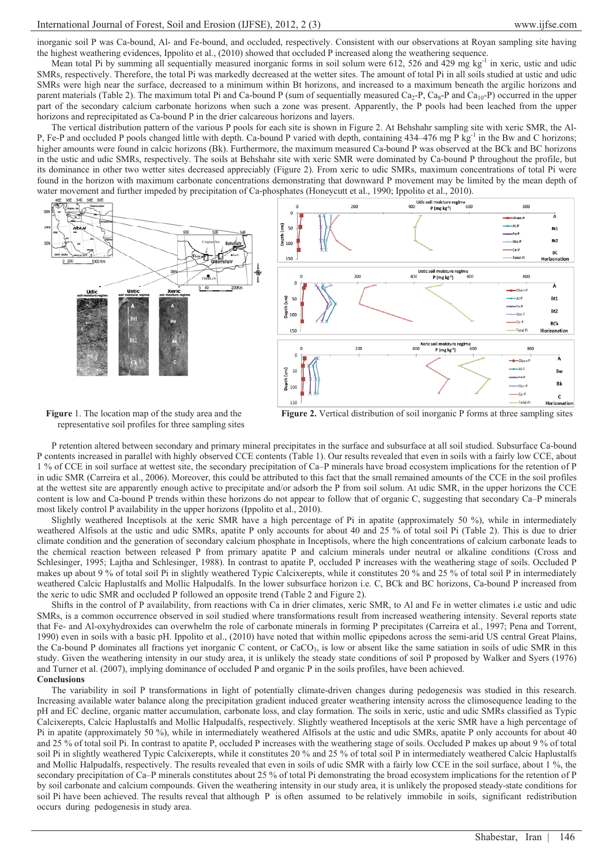inorganic soil P was Ca-bound, Al- and Fe-bound, and occluded, respectively. Consistent with our observations at Royan sampling site having the highest weathering evidences, Ippolito et al., (2010) showed that occluded P increased along the weathering sequence.

Mean total Pi by summing all sequentially measured inorganic forms in soil solum were  $612$ ,  $526$  and  $429$  mg kg<sup>-1</sup> in xeric, ustic and udic SMRs, respectively. Therefore, the total Pi was markedly decreased at the wetter sites. The amount of total Pi in all soils studied at ustic and udic SMRs were high near the surface, decreased to a minimum within Bt horizons, and increased to a maximum beneath the argilic horizons and parent materials (Table 2). The maximum total Pi and Ca-bound P (sum of sequentially measured Ca<sub>2</sub>-P, Ca<sub>8</sub>-P and Ca<sub>10</sub>-P) occurred in the upper part of the secondary calcium carbonate horizons when such a zone was present. Apparently, the P pools had been leached from the upper horizons and reprecipitated as Ca-bound P in the drier calcareous horizons and layers.

The vertical distribution pattern of the various P pools for each site is shown in Figure 2. At Behshahr sampling site with xeric SMR, the Al-P, Fe-P and occluded P pools changed little with depth. Ca-bound P varied with depth, containing 434–476 mg P kg<sup>-1</sup> in the Bw and C horizons; higher amounts were found in calcic horizons (Bk). Furthermore, the maximum measured Ca-bound P was observed at the BCk and BC horizons in the ustic and udic SMRs, respectively. The soils at Behshahr site with xeric SMR were dominated by Ca-bound P throughout the profile, but its dominance in other two wetter sites decreased appreciably (Figure 2). From xeric to udic SMRs, maximum concentrations of total Pi were found in the horizon with maximum carbonate concentrations demonstrating that downward P movement may be limited by the mean depth of



**Figure** 1. The location map of the study area and the representative soil profiles for three sampling sites

**Figure 2.** Vertical distribution of soil inorganic P forms at three sampling sites

P retention altered between secondary and primary mineral precipitates in the surface and subsurface at all soil studied. Subsurface Ca-bound P contents increased in parallel with highly observed CCE contents (Table 1). Our results revealed that even in soils with a fairly low CCE, about 1 % of CCE in soil surface at wettest site, the secondary precipitation of Ca–P minerals have broad ecosystem implications for the retention of P in udic SMR (Carreira et al., 2006). Moreover, this could be attributed to this fact that the small remained amounts of the CCE in the soil profiles at the wettest site are apparently enough active to precipitate and/or adsorb the P from soil solum. At udic SMR, in the upper horizons the CCE content is low and Ca-bound P trends within these horizons do not appear to follow that of organic C, suggesting that secondary Ca–P minerals most likely control P availability in the upper horizons (Ippolito et al., 2010).

Slightly weathered Inceptisols at the xeric SMR have a high percentage of Pi in apatite (approximately 50 %), while in intermediately weathered Alfisols at the ustic and udic SMRs, apatite P only accounts for about 40 and 25 % of total soil Pi (Table 2). This is due to drier climate condition and the generation of secondary calcium phosphate in Inceptisols, where the high concentrations of calcium carbonate leads to the chemical reaction between released P from primary apatite P and calcium minerals under neutral or alkaline conditions (Cross and Schlesinger, 1995; Lajtha and Schlesinger, 1988). In contrast to apatite P, occluded P increases with the weathering stage of soils. Occluded P makes up about 9 % of total soil Pi in slightly weathered Typic Calcixerepts, while it constitutes 20 % and 25 % of total soil P in intermediately weathered Calcic Haplustalfs and Mollic Halpudalfs. In the lower subsurface horizon i.e. C, BCk and BC horizons, Ca-bound P increased from the xeric to udic SMR and occluded P followed an opposite trend (Table 2 and Figure 2).

Shifts in the control of P availability, from reactions with Ca in drier climates, xeric SMR, to Al and Fe in wetter climates i.e ustic and udic SMRs, is a common occurrence observed in soil studied where transformations result from increased weathering intensity. Several reports state that Fe- and Al-oxyhydroxides can overwhelm the role of carbonate minerals in forming P precipitates (Carreira et al., 1997; Pena and Torrent, 1990) even in soils with a basic pH. Ippolito et al., (2010) have noted that within mollic epipedons across the semi-arid US central Great Plains, the Ca-bound P dominates all fractions yet inorganic C content, or CaCO<sub>3</sub>, is low or absent like the same satiation in soils of udic SMR in this study. Given the weathering intensity in our study area, it is unlikely the steady state conditions of soil P proposed by Walker and Syers (1976) and Turner et al. (2007), implying dominance of occluded P and organic P in the soils profiles, have been achieved. **Conclusions** 

The variability in soil P transformations in light of potentially climate-driven changes during pedogenesis was studied in this research. Increasing available water balance along the precipitation gradient induced greater weathering intensity across the climosequence leading to the pH and EC decline, organic matter accumulation, carbonate loss, and clay formation. The soils in xeric, ustic and udic SMRs classified as Typic Calcixerepts, Calcic Haplustalfs and Mollic Halpudalfs, respectively. Slightly weathered Inceptisols at the xeric SMR have a high percentage of Pi in apatite (approximately 50 %), while in intermediately weathered Alfisols at the ustic and udic SMRs, apatite P only accounts for about 40 and 25 % of total soil Pi. In contrast to apatite P, occluded P increases with the weathering stage of soils. Occluded P makes up about 9 % of total soil Pi in slightly weathered Typic Calcixerepts, while it constitutes 20 % and 25 % of total soil P in intermediately weathered Calcic Haplustalfs and Mollic Halpudalfs, respectively. The results revealed that even in soils of udic SMR with a fairly low CCE in the soil surface, about 1 %, the secondary precipitation of Ca–P minerals constitutes about 25 % of total Pi demonstrating the broad ecosystem implications for the retention of P by soil carbonate and calcium compounds. Given the weathering intensity in our study area, it is unlikely the proposed steady-state conditions for soil Pi have been achieved. The results reveal that although P is often assumed to be relatively immobile in soils, significant redistribution occurs during pedogenesis in study area.